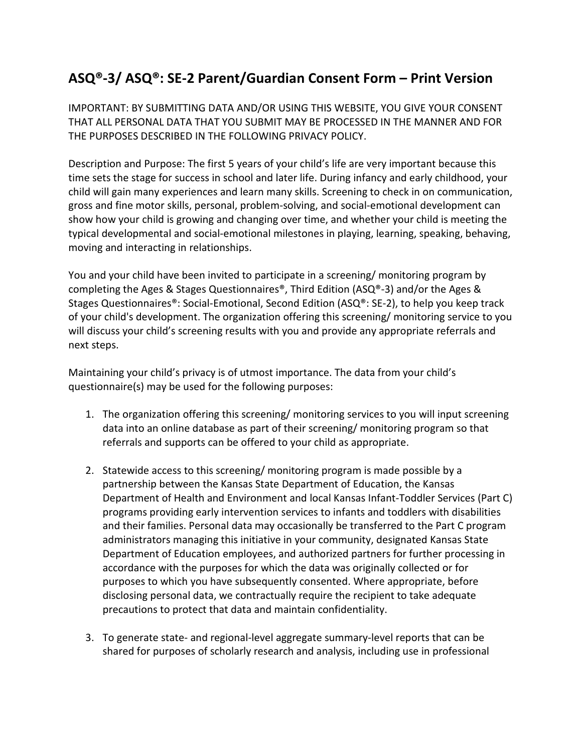## **ASQ®-3/ ASQ®: SE-2 Parent/Guardian Consent Form – Print Version**

IMPORTANT: BY SUBMITTING DATA AND/OR USING THIS WEBSITE, YOU GIVE YOUR CONSENT THAT ALL PERSONAL DATA THAT YOU SUBMIT MAY BE PROCESSED IN THE MANNER AND FOR THE PURPOSES DESCRIBED IN THE FOLLOWING PRIVACY POLICY.

Description and Purpose: The first 5 years of your child's life are very important because this time sets the stage for success in school and later life. During infancy and early childhood, your child will gain many experiences and learn many skills. Screening to check in on communication, gross and fine motor skills, personal, problem-solving, and social-emotional development can show how your child is growing and changing over time, and whether your child is meeting the typical developmental and social-emotional milestones in playing, learning, speaking, behaving, moving and interacting in relationships.

You and your child have been invited to participate in a screening/ monitoring program by completing the Ages & Stages Questionnaires®, Third Edition (ASQ®-3) and/or the Ages & Stages Questionnaires®: Social-Emotional, Second Edition (ASQ®: SE-2), to help you keep track of your child's development. The organization offering this screening/ monitoring service to you will discuss your child's screening results with you and provide any appropriate referrals and next steps.

Maintaining your child's privacy is of utmost importance. The data from your child's questionnaire(s) may be used for the following purposes:

- 1. The organization offering this screening/ monitoring services to you will input screening data into an online database as part of their screening/ monitoring program so that referrals and supports can be offered to your child as appropriate.
- 2. Statewide access to this screening/ monitoring program is made possible by a partnership between the Kansas State Department of Education, the Kansas Department of Health and Environment and local Kansas Infant-Toddler Services (Part C) programs providing early intervention services to infants and toddlers with disabilities and their families. Personal data may occasionally be transferred to the Part C program administrators managing this initiative in your community, designated Kansas State Department of Education employees, and authorized partners for further processing in accordance with the purposes for which the data was originally collected or for purposes to which you have subsequently consented. Where appropriate, before disclosing personal data, we contractually require the recipient to take adequate precautions to protect that data and maintain confidentiality.
- 3. To generate state- and regional-level aggregate summary-level reports that can be shared for purposes of scholarly research and analysis, including use in professional